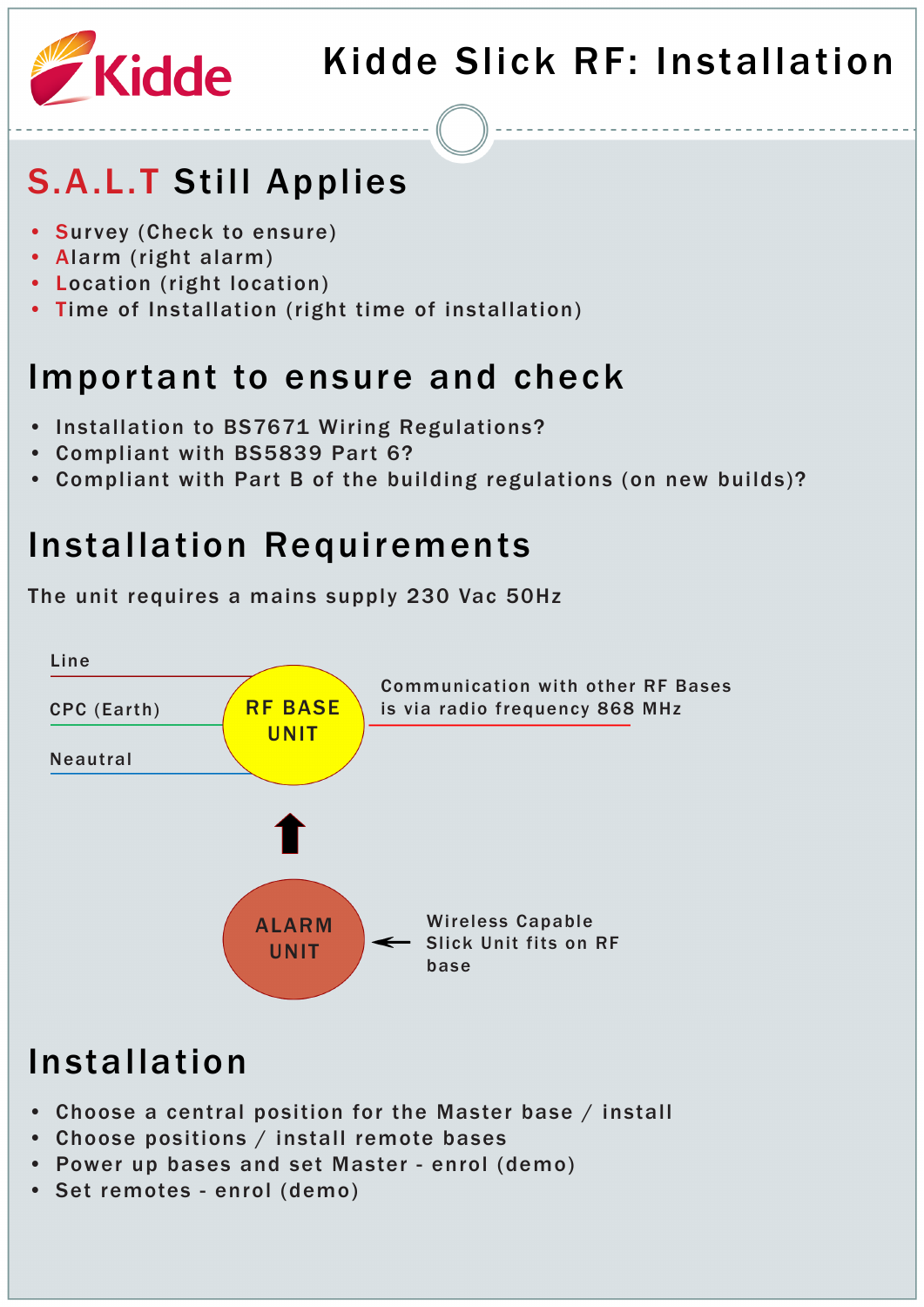

# S.A.L.T Still Applies

- Survey (Check to ensure)
- Alarm (right alarm)
- Location (right location)
- Time of Installation (right time of installation)

#### Important to ensure and check

- Installation to BS7671 Wiring Regulations?
- Compliant with BS5839 Part 6?
- Compliant with Part B of the building regulations (on new builds)?

#### Installation Requirements

The unit requires a mains supply 230 Vac 50Hz



- Choose a central position for the Master base / install
- Choose positions / install remote bases
- Power up bases and set Master enrol (demo)
- Set remotes enrol (demo)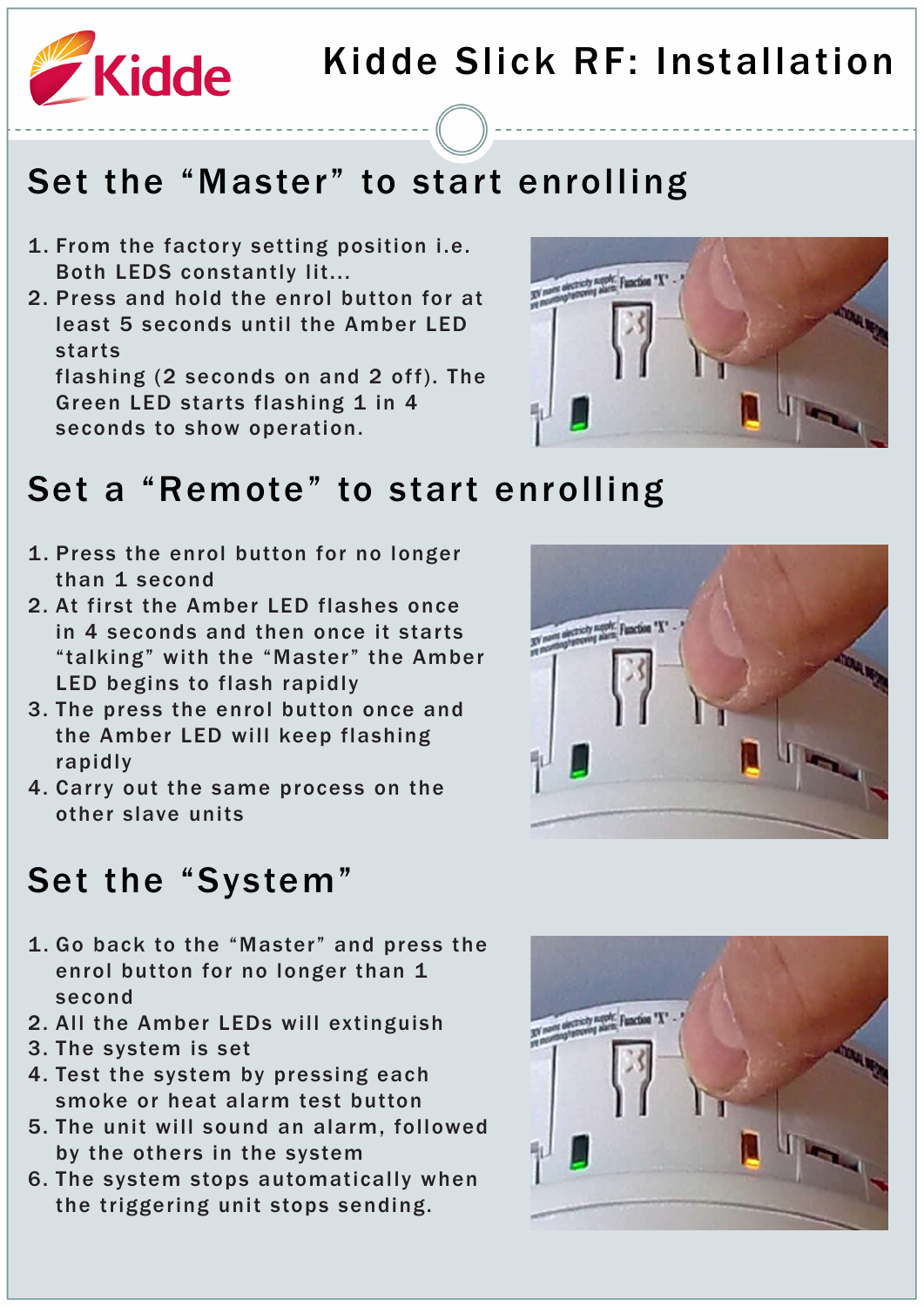

#### Set the "Master" to start enrolling

- 1. From the factory setting position i.e. Both LEDS constantly lit...
- 2. Press and hold the enrol button for at least 5 seconds until the Amber LED starts

flashing (2 seconds on and 2 off). The Green LED starts flashing 1 in 4 seconds to show operation.



#### Set a "Remote" to start enrolling

- 1. Press the enrol button for no longer than 1 second
- 2. At first the Amber LED flashes once in 4 seconds and then once it starts "talking" with the "Master" the Amber LED begins to flash rapidly
- 3. The press the enrol button once and the Amber LED will keep flashing rapidly
- 4. Carry out the same process on the other slave units



#### Set the "System"

- 1. Go back to the "Master" and press the enrol button for no longer than 1 second
- 2. All the Amber LEDs will extinguish
- 3. The system is set
- 4. Test the system by pressing each smoke or heat alarm test button
- 5. The unit will sound an alarm, followed by the others in the system
- 6. The system stops automatically when the triggering unit stops sending.

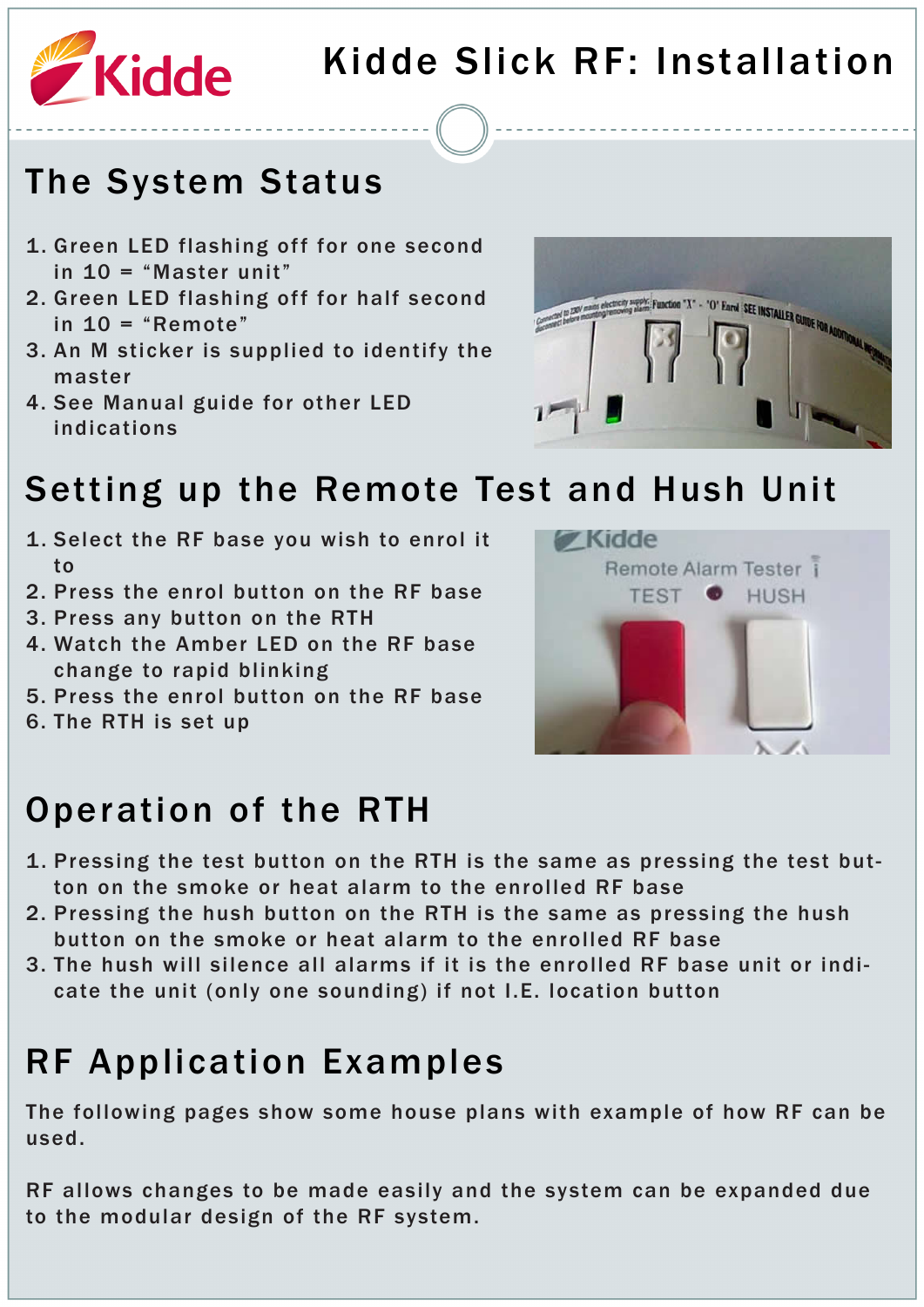

#### The System Status

- 1. Green LED flashing off for one second in 10 = "Master unit"
- 2. Green LED flashing off for half second in  $10 =$  "Remote"
- 3. An M sticker is supplied to identify the master
- 4. See Manual guide for other LED indications



#### Setting up the Remote Test and Hush Unit

- 1. Select the RF base you wish to enrol it to
- 2. Press the enrol button on the RF base
- 3. Press any button on the RTH
- 4. Watch the Amber LED on the RF base change to rapid blinking
- 5. Press the enrol button on the RF base
- 6. The RTH is set up



#### Operation of the RTH

- 1. Pressing the test button on the RTH is the same as pressing the test button on the smoke or heat alarm to the enrolled RF base
- 2. Pressing the hush button on the RTH is the same as pressing the hush button on the smoke or heat alarm to the enrolled RF base
- 3. The hush will silence all alarms if it is the enrolled RF base unit or indicate the unit (only one sounding) if not I.E. location button

# RF Application Examples

The following pages show some house plans with example of how RF can be used.

RF allows changes to be made easily and the system can be expanded due to the modular design of the RF system.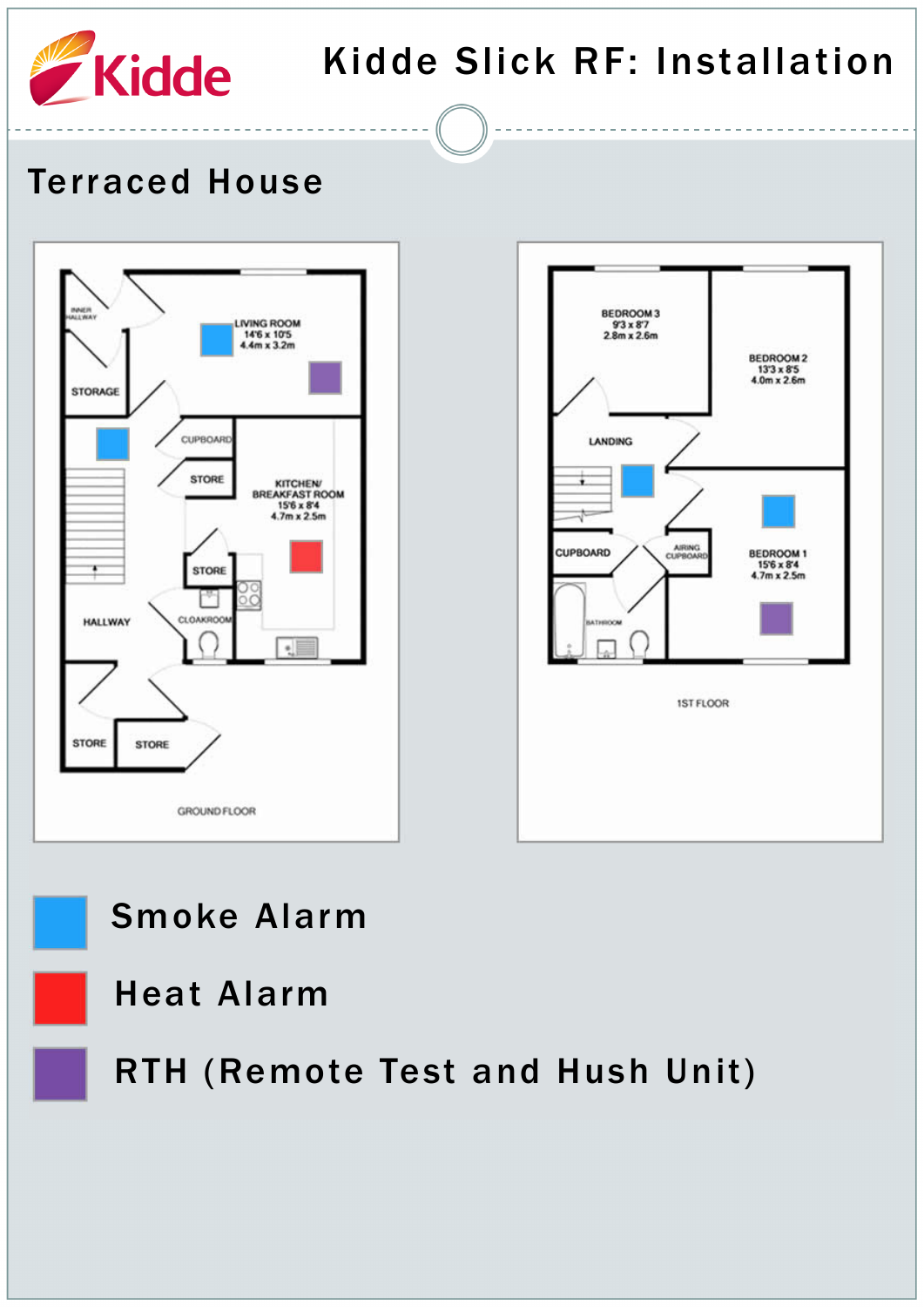

#### Terraced House







Heat Alarm

RTH (Remote Test and Hush Unit)